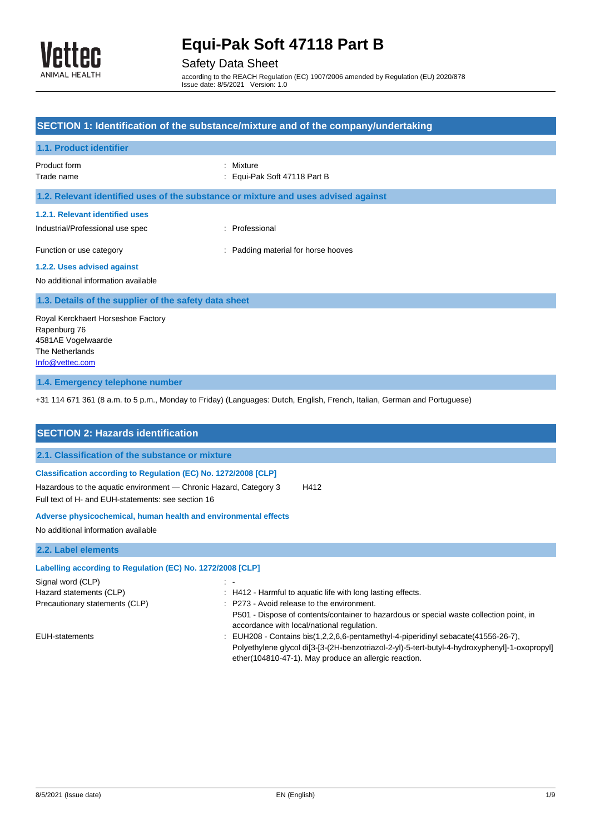

# Safety Data Sheet

according to the REACH Regulation (EC) 1907/2006 amended by Regulation (EU) 2020/878 Issue date: 8/5/2021 Version: 1.0

| SECTION 1: Identification of the substance/mixture and of the company/undertaking                              |                                           |  |  |
|----------------------------------------------------------------------------------------------------------------|-------------------------------------------|--|--|
| 1.1. Product identifier                                                                                        |                                           |  |  |
| Product form<br>Trade name                                                                                     | : Mixture<br>: Equi-Pak Soft 47118 Part B |  |  |
| 1.2. Relevant identified uses of the substance or mixture and uses advised against                             |                                           |  |  |
| 1.2.1. Relevant identified uses<br>Industrial/Professional use spec                                            | : Professional                            |  |  |
| Function or use category<br>1.2.2. Uses advised against<br>No additional information available                 | : Padding material for horse hooves       |  |  |
| 1.3. Details of the supplier of the safety data sheet                                                          |                                           |  |  |
| Royal Kerckhaert Horseshoe Factory<br>Rapenburg 76<br>4581AE Vogelwaarde<br>The Netherlands<br>Info@vettec.com |                                           |  |  |
| 1.4. Emergency telephone number                                                                                |                                           |  |  |

+31 114 671 361 (8 a.m. to 5 p.m., Monday to Friday) (Languages: Dutch, English, French, Italian, German and Portuguese)

| <b>SECTION 2: Hazards identification</b>                                                                                                                                                   |                                                                                                                                                                                                                                                                                                                 |
|--------------------------------------------------------------------------------------------------------------------------------------------------------------------------------------------|-----------------------------------------------------------------------------------------------------------------------------------------------------------------------------------------------------------------------------------------------------------------------------------------------------------------|
| 2.1. Classification of the substance or mixture                                                                                                                                            |                                                                                                                                                                                                                                                                                                                 |
| Classification according to Regulation (EC) No. 1272/2008 [CLP]<br>Hazardous to the aquatic environment — Chronic Hazard, Category 3<br>Full text of H- and EUH-statements: see section 16 | H412                                                                                                                                                                                                                                                                                                            |
| Adverse physicochemical, human health and environmental effects<br>No additional information available                                                                                     |                                                                                                                                                                                                                                                                                                                 |
| 2.2. Label elements                                                                                                                                                                        |                                                                                                                                                                                                                                                                                                                 |
| Labelling according to Regulation (EC) No. 1272/2008 [CLP]                                                                                                                                 |                                                                                                                                                                                                                                                                                                                 |
| Signal word (CLP)<br>Hazard statements (CLP)<br>Precautionary statements (CLP)                                                                                                             | $\mathcal{L}^{\mathcal{L}}$ , $\mathcal{L}^{\mathcal{L}}$<br>: H412 - Harmful to aquatic life with long lasting effects.<br>: P273 - Avoid release to the environment.<br>P501 - Dispose of contents/container to hazardous or special waste collection point, in<br>accordance with local/national regulation. |
| <b>EUH-statements</b>                                                                                                                                                                      | EUH208 - Contains bis(1,2,2,6,6-pentamethyl-4-piperidinyl sebacate(41556-26-7),<br>Polyethylene glycol di[3-[3-(2H-benzotriazol-2-yl)-5-tert-butyl-4-hydroxyphenyl]-1-oxopropyl]<br>ether(104810-47-1). May produce an allergic reaction.                                                                       |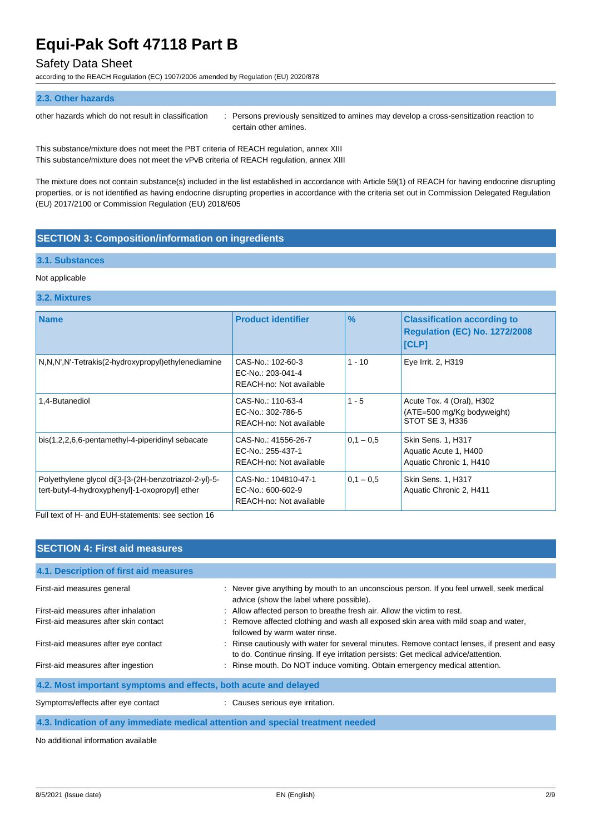## Safety Data Sheet

according to the REACH Regulation (EC) 1907/2006 amended by Regulation (EU) 2020/878

| <b>2.3. Other hazards</b> |  |
|---------------------------|--|

other hazards which do not result in classification : Persons previously sensitized to amines may develop a cross-sensitization reaction to certain other amines.

This substance/mixture does not meet the PBT criteria of REACH regulation, annex XIII This substance/mixture does not meet the vPvB criteria of REACH regulation, annex XIII

The mixture does not contain substance(s) included in the list established in accordance with Article 59(1) of REACH for having endocrine disrupting properties, or is not identified as having endocrine disrupting properties in accordance with the criteria set out in Commission Delegated Regulation (EU) 2017/2100 or Commission Regulation (EU) 2018/605

### **SECTION 3: Composition/information on ingredients**

#### **3.1. Substances**

#### Not applicable

#### **3.2. Mixtures**

| <b>Name</b>                                                                                             | <b>Product identifier</b>                                            | $\frac{9}{6}$ | <b>Classification according to</b><br><b>Regulation (EC) No. 1272/2008</b><br><b>[CLP]</b> |
|---------------------------------------------------------------------------------------------------------|----------------------------------------------------------------------|---------------|--------------------------------------------------------------------------------------------|
| N,N,N',N'-Tetrakis(2-hydroxypropyl)ethylenediamine                                                      | CAS-No.: 102-60-3<br>EC-No.: 203-041-4<br>REACH-no: Not available    | $1 - 10$      | Eye Irrit. 2, H319                                                                         |
| 1.4-Butanediol                                                                                          | CAS-No.: 110-63-4<br>EC-No.: 302-786-5<br>REACH-no: Not available    | $1 - 5$       | Acute Tox. 4 (Oral), H302<br>(ATE=500 mg/Kg bodyweight)<br>STOT SE 3, H336                 |
| bis(1,2,2,6,6-pentamethyl-4-piperidinyl sebacate                                                        | CAS-No.: 41556-26-7<br>EC-No.: 255-437-1<br>REACH-no: Not available  | $0.1 - 0.5$   | <b>Skin Sens. 1, H317</b><br>Aquatic Acute 1, H400<br>Aquatic Chronic 1, H410              |
| Polyethylene glycol dis3-[3-(2H-benzotriazol-2-yl)-5-<br>tert-butyl-4-hydroxyphenyl]-1-oxopropyl] ether | CAS-No.: 104810-47-1<br>EC-No.: 600-602-9<br>REACH-no: Not available | $0.1 - 0.5$   | <b>Skin Sens. 1, H317</b><br>Aquatic Chronic 2, H411                                       |

Full text of H- and EUH-statements: see section 16

| <b>SECTION 4: First aid measures</b>                             |                                                                                                                                                                                     |  |  |
|------------------------------------------------------------------|-------------------------------------------------------------------------------------------------------------------------------------------------------------------------------------|--|--|
| 4.1. Description of first aid measures                           |                                                                                                                                                                                     |  |  |
| First-aid measures general                                       | : Never give anything by mouth to an unconscious person. If you feel unwell, seek medical<br>advice (show the label where possible).                                                |  |  |
| First-aid measures after inhalation                              | : Allow affected person to breathe fresh air. Allow the victim to rest.                                                                                                             |  |  |
| First-aid measures after skin contact                            | : Remove affected clothing and wash all exposed skin area with mild soap and water,<br>followed by warm water rinse.                                                                |  |  |
| First-aid measures after eye contact                             | : Rinse cautiously with water for several minutes. Remove contact lenses, if present and easy<br>to do. Continue rinsing. If eye irritation persists: Get medical advice/attention. |  |  |
| First-aid measures after ingestion                               | : Rinse mouth. Do NOT induce vomiting. Obtain emergency medical attention.                                                                                                          |  |  |
| 4.2. Most important symptoms and effects, both acute and delayed |                                                                                                                                                                                     |  |  |
| Symptoms/effects after eye contact                               | : Causes serious eye irritation.                                                                                                                                                    |  |  |
|                                                                  | 4.3. Indication of any immediate medical attention and special treatment needed                                                                                                     |  |  |

No additional information available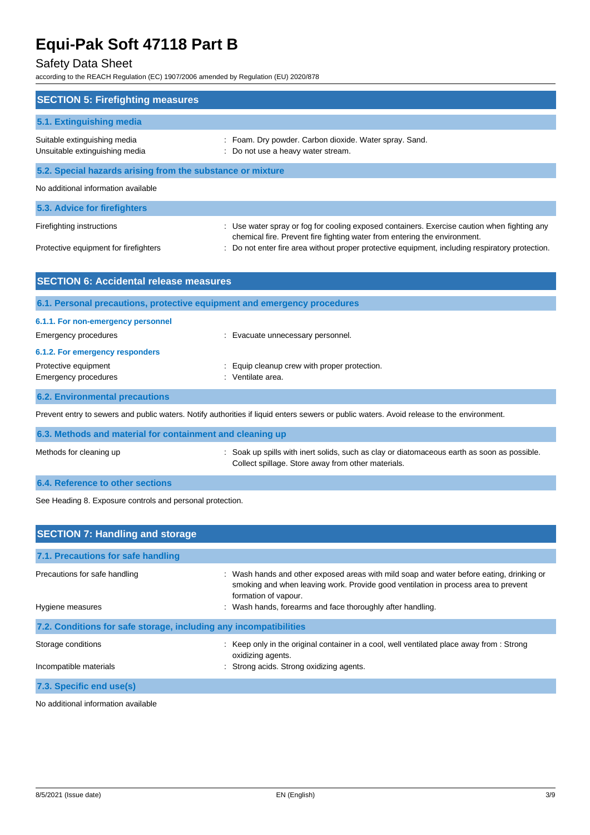# Safety Data Sheet

according to the REACH Regulation (EC) 1907/2006 amended by Regulation (EU) 2020/878

| <b>SECTION 5: Firefighting measures</b>                                                              |                                                                                                                                                                                                                                                                           |
|------------------------------------------------------------------------------------------------------|---------------------------------------------------------------------------------------------------------------------------------------------------------------------------------------------------------------------------------------------------------------------------|
| 5.1. Extinguishing media                                                                             |                                                                                                                                                                                                                                                                           |
| Suitable extinguishing media<br>Unsuitable extinguishing media                                       | : Foam. Dry powder. Carbon dioxide. Water spray. Sand.<br>: Do not use a heavy water stream.                                                                                                                                                                              |
| 5.2. Special hazards arising from the substance or mixture                                           |                                                                                                                                                                                                                                                                           |
| No additional information available                                                                  |                                                                                                                                                                                                                                                                           |
| 5.3. Advice for firefighters                                                                         |                                                                                                                                                                                                                                                                           |
| Firefighting instructions<br>Protective equipment for firefighters                                   | : Use water spray or fog for cooling exposed containers. Exercise caution when fighting any<br>chemical fire. Prevent fire fighting water from entering the environment.<br>Do not enter fire area without proper protective equipment, including respiratory protection. |
| <b>SECTION 6: Accidental release measures</b>                                                        |                                                                                                                                                                                                                                                                           |
| 6.1. Personal precautions, protective equipment and emergency procedures                             |                                                                                                                                                                                                                                                                           |
| 6.1.1. For non-emergency personnel<br><b>Emergency procedures</b><br>6.1.2. For emergency responders | : Evacuate unnecessary personnel.                                                                                                                                                                                                                                         |
| Protective equipment<br><b>Emergency procedures</b>                                                  | Equip cleanup crew with proper protection.<br>: Ventilate area.                                                                                                                                                                                                           |
| <b>6.2. Environmental precautions</b>                                                                |                                                                                                                                                                                                                                                                           |
|                                                                                                      | Prevent entry to sewers and public waters. Notify authorities if liquid enters sewers or public waters. Avoid release to the environment.                                                                                                                                 |

| 6.3. Methods and material for containment and cleaning up |                                                                                                                                                   |  |
|-----------------------------------------------------------|---------------------------------------------------------------------------------------------------------------------------------------------------|--|
| Methods for cleaning up                                   | : Soak up spills with inert solids, such as clay or diatomaceous earth as soon as possible.<br>Collect spillage. Store away from other materials. |  |

## **6.4. Reference to other sections**

See Heading 8. Exposure controls and personal protection.

| <b>SECTION 7: Handling and storage</b>                            |                                                                                                                                                                                                        |  |  |
|-------------------------------------------------------------------|--------------------------------------------------------------------------------------------------------------------------------------------------------------------------------------------------------|--|--|
| 7.1. Precautions for safe handling                                |                                                                                                                                                                                                        |  |  |
| Precautions for safe handling                                     | : Wash hands and other exposed areas with mild soap and water before eating, drinking or<br>smoking and when leaving work. Provide good ventilation in process area to prevent<br>formation of vapour. |  |  |
| Hygiene measures                                                  | : Wash hands, forearms and face thoroughly after handling.                                                                                                                                             |  |  |
| 7.2. Conditions for safe storage, including any incompatibilities |                                                                                                                                                                                                        |  |  |
| Storage conditions                                                | : Keep only in the original container in a cool, well ventilated place away from : Strong<br>oxidizing agents.                                                                                         |  |  |
| Incompatible materials                                            | : Strong acids. Strong oxidizing agents.                                                                                                                                                               |  |  |
| 7.3. Specific end use(s)                                          |                                                                                                                                                                                                        |  |  |

No additional information available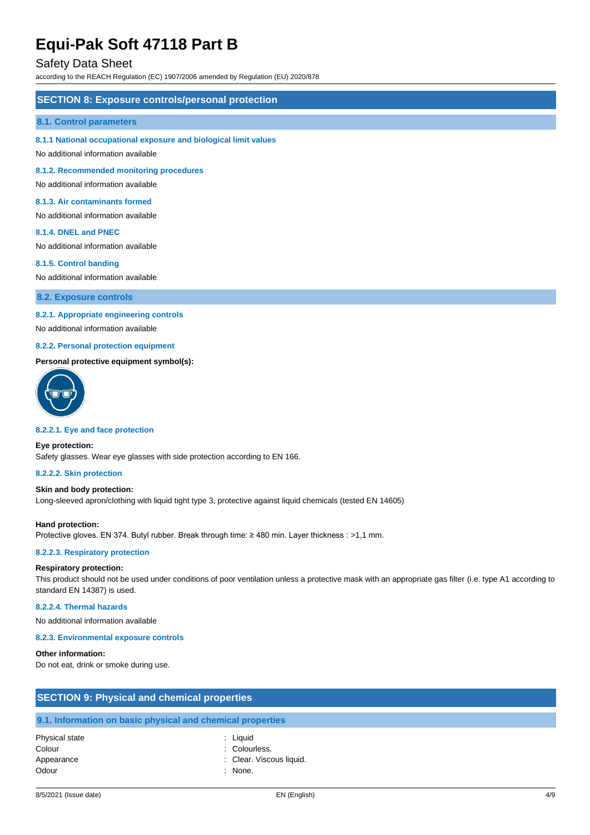## Safety Data Sheet

according to the REACH Regulation (EC) 1907/2006 amended by Regulation (EU) 2020/878

#### **SECTION 8: Exposure controls/personal protection**

#### **8.1. Control parameters**

#### **8.1.1 National occupational exposure and biological limit values**

No additional information available

#### **8.1.2. Recommended monitoring procedures**

No additional information available

#### **8.1.3. Air contaminants formed**

No additional information available

#### **8.1.4. DNEL and PNEC**

No additional information available

#### **8.1.5. Control banding**

No additional information available

**8.2. Exposure controls**

### **8.2.1. Appropriate engineering controls**

No additional information available

### **8.2.2. Personal protection equipment**

#### **Personal protective equipment symbol(s):**



#### **8.2.2.1. Eye and face protection**

#### **Eye protection:**

Safety glasses. Wear eye glasses with side protection according to EN 166.

### **8.2.2.2. Skin protection**

#### **Skin and body protection:**

Long-sleeved apron/clothing with liquid tight type 3, protective against liquid chemicals (tested EN 14605)

#### **Hand protection:**

Protective gloves. EN 374. Butyl rubber. Break through time: ≥ 480 min. Layer thickness : >1,1 mm.

## **8.2.2.3. Respiratory protection**

### **Respiratory protection:**

This product should not be used under conditions of poor ventilation unless a protective mask with an appropriate gas filter (i.e. type A1 according to standard EN 14387) is used.

## **8.2.2.4. Thermal hazards**

No additional information available

### **8.2.3. Environmental exposure controls**

#### **Other information:**

Do not eat, drink or smoke during use.

| <b>SECTION 9: Physical and chemical properties</b>         |                          |  |  |
|------------------------------------------------------------|--------------------------|--|--|
| 9.1. Information on basic physical and chemical properties |                          |  |  |
| Physical state                                             | : Liguid                 |  |  |
| Colour                                                     | : Colourless.            |  |  |
| Appearance                                                 | : Clear. Viscous liquid. |  |  |
| Odour                                                      | : None.                  |  |  |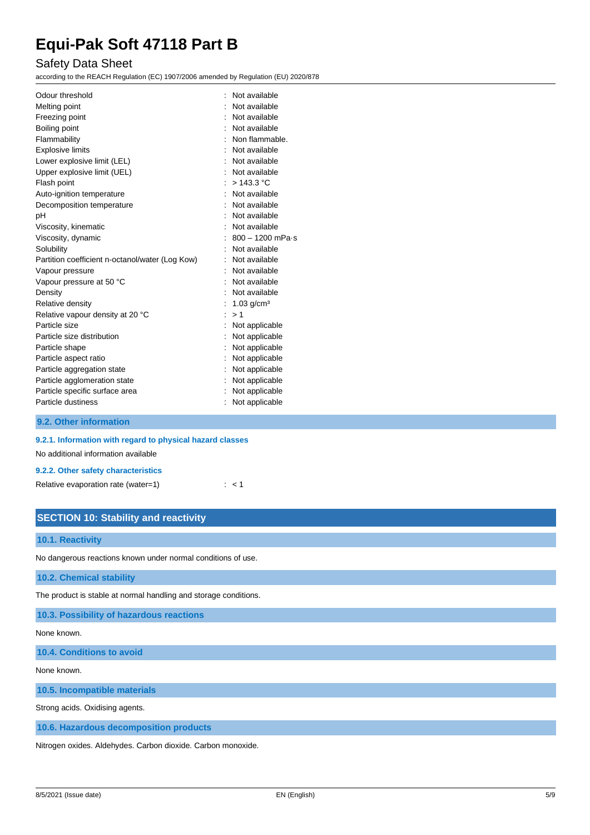## Safety Data Sheet

according to the REACH Regulation (EC) 1907/2006 amended by Regulation (EU) 2020/878

| Odour threshold                                 | Not available              |
|-------------------------------------------------|----------------------------|
| Melting point                                   | Not available              |
| Freezing point                                  | Not available              |
| Boiling point                                   | Not available              |
| Flammability                                    | Non flammable.             |
| <b>Explosive limits</b>                         | Not available              |
| Lower explosive limit (LEL)                     | Not available              |
| Upper explosive limit (UEL)                     | Not available              |
| Flash point                                     | > 143.3 °C                 |
| Auto-ignition temperature                       | Not available              |
| Decomposition temperature                       | Not available              |
| рH                                              | Not available              |
| Viscosity, kinematic                            | Not available              |
| Viscosity, dynamic                              | $800 - 1200$ mPa $\cdot$ s |
| Solubility                                      | Not available              |
| Partition coefficient n-octanol/water (Log Kow) | Not available              |
| Vapour pressure                                 | Not available              |
| Vapour pressure at 50 °C                        | Not available              |
| Density                                         | Not available              |
| Relative density                                | $1.03$ g/cm <sup>3</sup>   |
| Relative vapour density at 20 °C                | >1                         |
| Particle size                                   | Not applicable             |
| Particle size distribution                      | Not applicable             |
| Particle shape                                  | Not applicable             |
| Particle aspect ratio                           | Not applicable             |
| Particle aggregation state                      | Not applicable             |
| Particle agglomeration state                    | Not applicable             |
| Particle specific surface area                  | Not applicable             |
| Particle dustiness                              | Not applicable             |
|                                                 |                            |

**9.2. Other information**

#### **9.2.1. Information with regard to physical hazard classes**

No additional information available

## **9.2.2. Other safety characteristics**

Relative evaporation rate (water=1)  $\leq 1$ 

| <b>SECTION 10: Stability and reactivity</b> |  |
|---------------------------------------------|--|
|                                             |  |

## **10.1. Reactivity**

No dangerous reactions known under normal conditions of use.

**10.2. Chemical stability**

The product is stable at normal handling and storage conditions.

### **10.3. Possibility of hazardous reactions**

None known.

**10.4. Conditions to avoid**

## None known.

**10.5. Incompatible materials**

Strong acids. Oxidising agents.

**10.6. Hazardous decomposition products**

Nitrogen oxides. Aldehydes. Carbon dioxide. Carbon monoxide.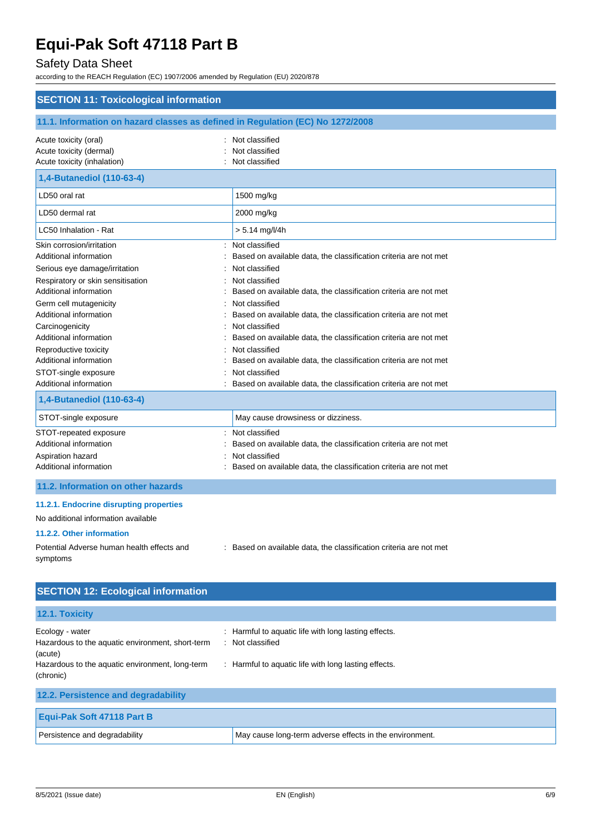# Safety Data Sheet

according to the REACH Regulation (EC) 1907/2006 amended by Regulation (EU) 2020/878

| <b>SECTION 11: Toxicological information</b>                                                                                                                                                                                                                                                                                                                                           |                                                                                                                                                                                                                                                                                                                                                                                                                                                                                                                                                    |  |  |  |
|----------------------------------------------------------------------------------------------------------------------------------------------------------------------------------------------------------------------------------------------------------------------------------------------------------------------------------------------------------------------------------------|----------------------------------------------------------------------------------------------------------------------------------------------------------------------------------------------------------------------------------------------------------------------------------------------------------------------------------------------------------------------------------------------------------------------------------------------------------------------------------------------------------------------------------------------------|--|--|--|
| 11.1. Information on hazard classes as defined in Regulation (EC) No 1272/2008                                                                                                                                                                                                                                                                                                         |                                                                                                                                                                                                                                                                                                                                                                                                                                                                                                                                                    |  |  |  |
| Acute toxicity (oral)<br>Acute toxicity (dermal)<br>Acute toxicity (inhalation)                                                                                                                                                                                                                                                                                                        | : Not classified<br>Not classified<br>Not classified                                                                                                                                                                                                                                                                                                                                                                                                                                                                                               |  |  |  |
| 1,4-Butanediol (110-63-4)                                                                                                                                                                                                                                                                                                                                                              |                                                                                                                                                                                                                                                                                                                                                                                                                                                                                                                                                    |  |  |  |
| LD50 oral rat                                                                                                                                                                                                                                                                                                                                                                          | 1500 mg/kg                                                                                                                                                                                                                                                                                                                                                                                                                                                                                                                                         |  |  |  |
| LD50 dermal rat                                                                                                                                                                                                                                                                                                                                                                        | 2000 mg/kg                                                                                                                                                                                                                                                                                                                                                                                                                                                                                                                                         |  |  |  |
| LC50 Inhalation - Rat                                                                                                                                                                                                                                                                                                                                                                  | $> 5.14$ mg/l/4h                                                                                                                                                                                                                                                                                                                                                                                                                                                                                                                                   |  |  |  |
| Skin corrosion/irritation<br>Additional information<br>Serious eye damage/irritation<br>Respiratory or skin sensitisation<br>Additional information<br>Germ cell mutagenicity<br>Additional information<br>Carcinogenicity<br>Additional information<br>Reproductive toxicity<br>Additional information<br>STOT-single exposure<br>Additional information<br>1,4-Butanediol (110-63-4) | Not classified<br>Based on available data, the classification criteria are not met<br>Not classified<br>Not classified<br>Based on available data, the classification criteria are not met<br>Not classified<br>Based on available data, the classification criteria are not met<br>Not classified<br>Based on available data, the classification criteria are not met<br>Not classified<br>Based on available data, the classification criteria are not met<br>Not classified<br>Based on available data, the classification criteria are not met |  |  |  |
| STOT-single exposure                                                                                                                                                                                                                                                                                                                                                                   | May cause drowsiness or dizziness.                                                                                                                                                                                                                                                                                                                                                                                                                                                                                                                 |  |  |  |
| STOT-repeated exposure<br>Additional information<br>Aspiration hazard<br>Additional information                                                                                                                                                                                                                                                                                        | Not classified<br>Based on available data, the classification criteria are not met<br>Not classified<br>Based on available data, the classification criteria are not met                                                                                                                                                                                                                                                                                                                                                                           |  |  |  |
| 11.2. Information on other hazards                                                                                                                                                                                                                                                                                                                                                     |                                                                                                                                                                                                                                                                                                                                                                                                                                                                                                                                                    |  |  |  |
| 11.2.1. Endocrine disrupting properties<br>No additional information available<br>11.2.2. Other information<br>Potential Adverse human health effects and                                                                                                                                                                                                                              | : Based on available data, the classification criteria are not met                                                                                                                                                                                                                                                                                                                                                                                                                                                                                 |  |  |  |
| symptoms<br><b>SECTION 12: Ecological information</b>                                                                                                                                                                                                                                                                                                                                  |                                                                                                                                                                                                                                                                                                                                                                                                                                                                                                                                                    |  |  |  |
|                                                                                                                                                                                                                                                                                                                                                                                        |                                                                                                                                                                                                                                                                                                                                                                                                                                                                                                                                                    |  |  |  |
| 12.1. Toxicity                                                                                                                                                                                                                                                                                                                                                                         |                                                                                                                                                                                                                                                                                                                                                                                                                                                                                                                                                    |  |  |  |
| Ecology - water<br>Hazardous to the aquatic environment, short-term                                                                                                                                                                                                                                                                                                                    | Harmful to aquatic life with long lasting effects.<br>: Not classified                                                                                                                                                                                                                                                                                                                                                                                                                                                                             |  |  |  |

#### (acute) Hazardous to the aquatic environment, long-term (chronic) : Harmful to aquatic life with long lasting effects.

| 12.2. Persistence and degradability |                                                         |  |
|-------------------------------------|---------------------------------------------------------|--|
| <b>Equi-Pak Soft 47118 Part B</b>   |                                                         |  |
| Persistence and degradability       | May cause long-term adverse effects in the environment. |  |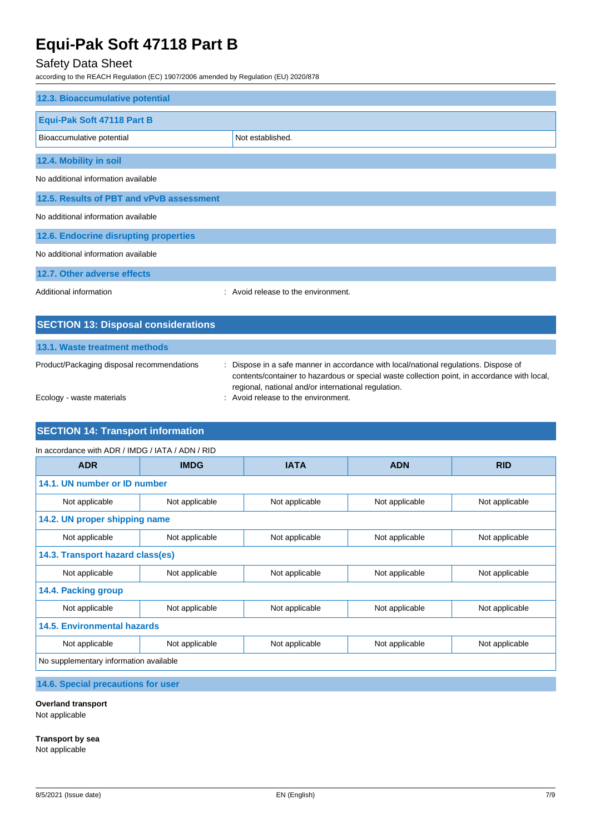# Safety Data Sheet

according to the REACH Regulation (EC) 1907/2006 amended by Regulation (EU) 2020/878

| 12.3. Bioaccumulative potential            |                                     |  |
|--------------------------------------------|-------------------------------------|--|
| Equi-Pak Soft 47118 Part B                 |                                     |  |
| Bioaccumulative potential                  | Not established.                    |  |
| 12.4. Mobility in soil                     |                                     |  |
| No additional information available        |                                     |  |
| 12.5. Results of PBT and vPvB assessment   |                                     |  |
| No additional information available        |                                     |  |
| 12.6. Endocrine disrupting properties      |                                     |  |
| No additional information available        |                                     |  |
| 12.7. Other adverse effects                |                                     |  |
| Additional information                     | : Avoid release to the environment. |  |
|                                            |                                     |  |
| <b>SECTION 13: Disposal considerations</b> |                                     |  |

| 13.1. Waste treatment methods              |                                                                                                                                                                                                                                             |
|--------------------------------------------|---------------------------------------------------------------------------------------------------------------------------------------------------------------------------------------------------------------------------------------------|
| Product/Packaging disposal recommendations | : Dispose in a safe manner in accordance with local/national regulations. Dispose of<br>contents/container to hazardous or special waste collection point, in accordance with local,<br>regional, national and/or international regulation. |
| Ecology - waste materials                  | : Avoid release to the environment.                                                                                                                                                                                                         |

## **SECTION 14: Transport information**

### In accordance with ADR / IMDG / IATA / ADN / RID

| <b>ADR</b>                             | <b>IMDG</b>    | <b>IATA</b>    | <b>ADN</b>     | <b>RID</b>     |
|----------------------------------------|----------------|----------------|----------------|----------------|
| 14.1. UN number or ID number           |                |                |                |                |
| Not applicable                         | Not applicable | Not applicable | Not applicable | Not applicable |
| 14.2. UN proper shipping name          |                |                |                |                |
| Not applicable                         | Not applicable | Not applicable | Not applicable | Not applicable |
| 14.3. Transport hazard class(es)       |                |                |                |                |
| Not applicable                         | Not applicable | Not applicable | Not applicable | Not applicable |
| 14.4. Packing group                    |                |                |                |                |
| Not applicable                         | Not applicable | Not applicable | Not applicable | Not applicable |
| <b>14.5. Environmental hazards</b>     |                |                |                |                |
| Not applicable                         | Not applicable | Not applicable | Not applicable | Not applicable |
| No supplementary information available |                |                |                |                |

**14.6. Special precautions for user**

**Overland transport**

Not applicable

**Transport by sea**

Not applicable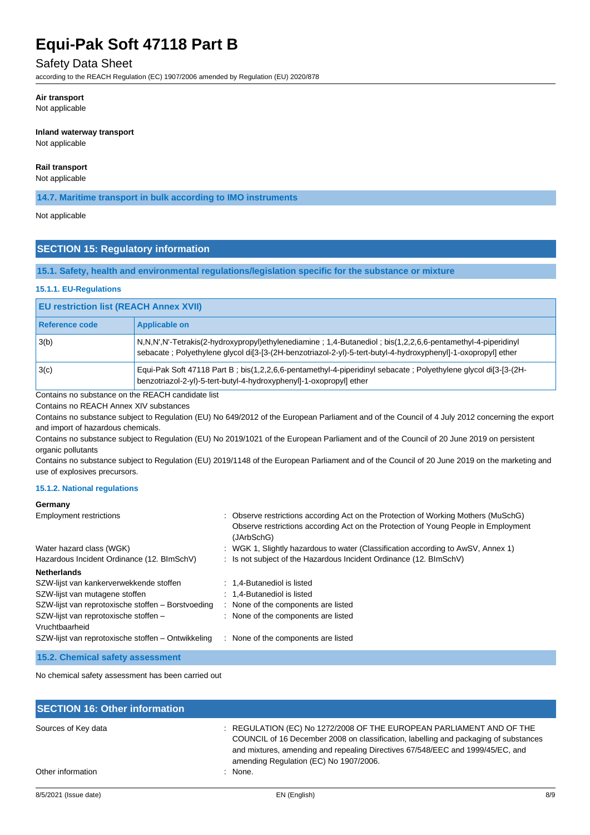## Safety Data Sheet

according to the REACH Regulation (EC) 1907/2006 amended by Regulation (EU) 2020/878

#### **Air transport**

Not applicable

#### **Inland waterway transport**

Not applicable

## **Rail transport**

Not applicable

#### **14.7. Maritime transport in bulk according to IMO instruments**

#### Not applicable

## **SECTION 15: Regulatory information**

**15.1. Safety, health and environmental regulations/legislation specific for the substance or mixture**

#### **15.1.1. EU-Regulations**

| <b>EU restriction list (REACH Annex XVII)</b> |                                                                                                                                                                                                                              |  |
|-----------------------------------------------|------------------------------------------------------------------------------------------------------------------------------------------------------------------------------------------------------------------------------|--|
| Reference code                                | <b>Applicable on</b>                                                                                                                                                                                                         |  |
| 3(b)                                          | N,N,N',N'-Tetrakis(2-hydroxypropyl)ethylenediamine; 1,4-Butanediol; bis(1,2,2,6,6-pentamethyl-4-piperidinyl<br>sebacate; Polyethylene glycol di[3-[3-(2H-benzotriazol-2-yl)-5-tert-butyl-4-hydroxyphenyl]-1-oxopropyl] ether |  |
| 3(c)                                          | Equi-Pak Soft 47118 Part B; bis(1,2,2,6,6-pentamethyl-4-piperidinyl sebacate; Polyethylene glycol di[3-[3-(2H-<br>benzotriazol-2-yl)-5-tert-butyl-4-hydroxyphenyl]-1-oxopropyl] ether                                        |  |

Contains no substance on the REACH candidate list

Contains no REACH Annex XIV substances

Contains no substance subject to Regulation (EU) No 649/2012 of the European Parliament and of the Council of 4 July 2012 concerning the export and import of hazardous chemicals.

Contains no substance subject to Regulation (EU) No 2019/1021 of the European Parliament and of the Council of 20 June 2019 on persistent organic pollutants

Contains no substance subject to Regulation (EU) 2019/1148 of the European Parliament and of the Council of 20 June 2019 on the marketing and use of explosives precursors.

#### **15.1.2. National regulations**

**Germany**

| OUTHAILY                                           |                                                                                                                                                                                        |
|----------------------------------------------------|----------------------------------------------------------------------------------------------------------------------------------------------------------------------------------------|
| <b>Employment restrictions</b>                     | : Observe restrictions according Act on the Protection of Working Mothers (MuSchG)<br>Observe restrictions according Act on the Protection of Young People in Employment<br>(JArbSchG) |
| Water hazard class (WGK)                           | : WGK 1, Slightly hazardous to water (Classification according to AwSV, Annex 1)                                                                                                       |
| Hazardous Incident Ordinance (12. BImSchV)         | : Is not subject of the Hazardous Incident Ordinance (12. BImSchV)                                                                                                                     |
| <b>Netherlands</b>                                 |                                                                                                                                                                                        |
| SZW-lijst van kankerverwekkende stoffen            | : 1.4-Butanediol is listed                                                                                                                                                             |
| SZW-lijst van mutagene stoffen                     | : 1,4-Butanediol is listed                                                                                                                                                             |
| SZW-lijst van reprotoxische stoffen – Borstvoeding | : None of the components are listed                                                                                                                                                    |
| SZW-lijst van reprotoxische stoffen -              | : None of the components are listed                                                                                                                                                    |
| Vruchtbaarheid                                     |                                                                                                                                                                                        |
| SZW-lijst van reprotoxische stoffen - Ontwikkeling | : None of the components are listed                                                                                                                                                    |
|                                                    |                                                                                                                                                                                        |

**15.2. Chemical safety assessment**

No chemical safety assessment has been carried out

| <b>SECTION 16: Other information</b> |                                                                                                                                                                                                                                                                                          |
|--------------------------------------|------------------------------------------------------------------------------------------------------------------------------------------------------------------------------------------------------------------------------------------------------------------------------------------|
| Sources of Key data                  | : REGULATION (EC) No 1272/2008 OF THE EUROPEAN PARLIAMENT AND OF THE<br>COUNCIL of 16 December 2008 on classification, labelling and packaging of substances<br>and mixtures, amending and repealing Directives 67/548/EEC and 1999/45/EC, and<br>amending Regulation (EC) No 1907/2006. |
| Other information                    | $:$ None.                                                                                                                                                                                                                                                                                |